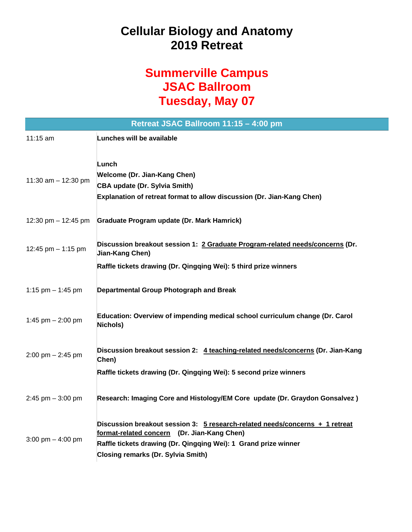## **Cellular Biology and Anatomy 2019 Retreat**

## **Summerville Campus JSAC Ballroom Tuesday, May 07**

| Retreat JSAC Ballroom 11:15 - 4:00 pm |                                                                                                                                                                                                                                             |
|---------------------------------------|---------------------------------------------------------------------------------------------------------------------------------------------------------------------------------------------------------------------------------------------|
| 11:15 am                              | Lunches will be available                                                                                                                                                                                                                   |
| 11:30 am $-$ 12:30 pm                 | Lunch<br><b>Welcome (Dr. Jian-Kang Chen)</b><br><b>CBA update (Dr. Sylvia Smith)</b><br>Explanation of retreat format to allow discussion (Dr. Jian-Kang Chen)                                                                              |
| 12:30 pm $-$ 12:45 pm                 | Graduate Program update (Dr. Mark Hamrick)                                                                                                                                                                                                  |
| 12:45 pm $-$ 1:15 pm                  | Discussion breakout session 1: 2 Graduate Program-related needs/concerns (Dr.<br>Jian-Kang Chen)                                                                                                                                            |
|                                       | Raffle tickets drawing (Dr. Qingqing Wei): 5 third prize winners                                                                                                                                                                            |
| 1:15 pm $-$ 1:45 pm                   | Departmental Group Photograph and Break                                                                                                                                                                                                     |
| 1:45 pm $-$ 2:00 pm                   | Education: Overview of impending medical school curriculum change (Dr. Carol<br>Nichols)                                                                                                                                                    |
| $2:00$ pm $- 2:45$ pm                 | Discussion breakout session 2: 4 teaching-related needs/concerns (Dr. Jian-Kang<br>Chen)                                                                                                                                                    |
|                                       | Raffle tickets drawing (Dr. Qingqing Wei): 5 second prize winners                                                                                                                                                                           |
| 2:45 pm $-$ 3:00 pm                   | Research: Imaging Core and Histology/EM Core update (Dr. Graydon Gonsalvez)                                                                                                                                                                 |
| 3:00 pm $-$ 4:00 pm                   | Discussion breakout session 3: 5 research-related needs/concerns + 1 retreat<br>format-related concern (Dr. Jian-Kang Chen)<br>Raffle tickets drawing (Dr. Qingqing Wei): 1 Grand prize winner<br><b>Closing remarks (Dr. Sylvia Smith)</b> |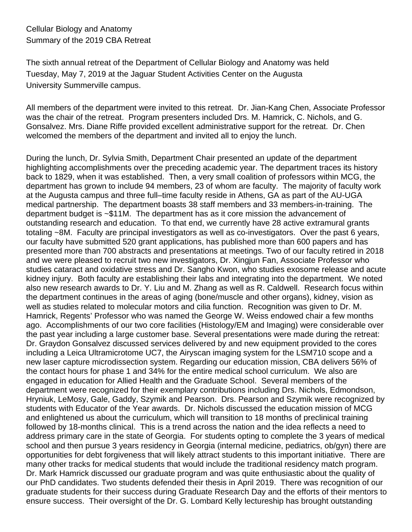Cellular Biology and Anatomy Summary of the 2019 CBA Retreat

The sixth annual retreat of the Department of Cellular Biology and Anatomy was held Tuesday, May 7, 2019 at the Jaguar Student Activities Center on the Augusta University Summerville campus.

All members of the department were invited to this retreat. Dr. Jian-Kang Chen, Associate Professor was the chair of the retreat. Program presenters included Drs. M. Hamrick, C. Nichols, and G. Gonsalvez. Mrs. Diane Riffe provided excellent administrative support for the retreat. Dr. Chen welcomed the members of the department and invited all to enjoy the lunch.

During the lunch, Dr. Sylvia Smith, Department Chair presented an update of the department highlighting accomplishments over the preceding academic year. The department traces its history back to 1829, when it was established. Then, a very small coalition of professors within MCG, the department has grown to include 94 members, 23 of whom are faculty. The majority of faculty work at the Augusta campus and three full–time faculty reside in Athens, GA as part of the AU-UGA medical partnership. The department boasts 38 staff members and 33 members-in-training. The department budget is ~\$11M. The department has as it core mission the advancement of outstanding research and education. To that end, we currently have 28 active extramural grants totaling ~8M. Faculty are principal investigators as well as co-investigators. Over the past 6 years, our faculty have submitted 520 grant applications, has published more than 600 papers and has presented more than 700 abstracts and presentations at meetings. Two of our faculty retired in 2018 and we were pleased to recruit two new investigators, Dr. Xingjun Fan, Associate Professor who studies cataract and oxidative stress and Dr. Sangho Kwon, who studies exosome release and acute kidney injury. Both faculty are establishing their labs and integrating into the department. We noted also new research awards to Dr. Y. Liu and M. Zhang as well as R. Caldwell. Research focus within the department continues in the areas of aging (bone/muscle and other organs), kidney, vision as well as studies related to molecular motors and cilia function. Recognition was given to Dr. M. Hamrick, Regents' Professor who was named the George W. Weiss endowed chair a few months ago. Accomplishments of our two core facilities (Histology/EM and Imaging) were considerable over the past year including a large customer base. Several presentations were made during the retreat: Dr. Graydon Gonsalvez discussed services delivered by and new equipment provided to the cores including a Leica Ultramicrotome UC7, the Airyscan imaging system for the LSM710 scope and a new laser capture microdissection system. Regarding our education mission, CBA delivers 56% of the contact hours for phase 1 and 34% for the entire medical school curriculum. We also are engaged in education for Allied Health and the Graduate School. Several members of the department were recognized for their exemplary contributions including Drs. Nichols, Edmondson, Hryniuk, LeMosy, Gale, Gaddy, Szymik and Pearson. Drs. Pearson and Szymik were recognized by students with Educator of the Year awards. Dr. Nichols discussed the education mission of MCG and enlightened us about the curriculum, which will transition to 18 months of preclinical training followed by 18-months clinical. This is a trend across the nation and the idea reflects a need to address primary care in the state of Georgia. For students opting to complete the 3 years of medical school and then pursue 3 years residency in Georgia (internal medicine, pediatrics, ob/gyn) there are opportunities for debt forgiveness that will likely attract students to this important initiative. There are many other tracks for medical students that would include the traditional residency match program. Dr. Mark Hamrick discussed our graduate program and was quite enthusiastic about the quality of our PhD candidates. Two students defended their thesis in April 2019. There was recognition of our graduate students for their success during Graduate Research Day and the efforts of their mentors to ensure success. Their oversight of the Dr. G. Lombard Kelly lectureship has brought outstanding